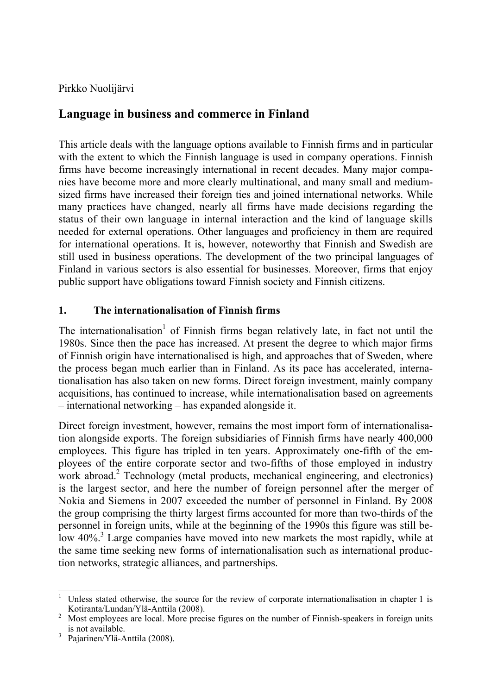Pirkko Nuolijärvi

# **Language in business and commerce in Finland**

This article deals with the language options available to Finnish firms and in particular with the extent to which the Finnish language is used in company operations. Finnish firms have become increasingly international in recent decades. Many major companies have become more and more clearly multinational, and many small and mediumsized firms have increased their foreign ties and joined international networks. While many practices have changed, nearly all firms have made decisions regarding the status of their own language in internal interaction and the kind of language skills needed for external operations. Other languages and proficiency in them are required for international operations. It is, however, noteworthy that Finnish and Swedish are still used in business operations. The development of the two principal languages of Finland in various sectors is also essential for businesses. Moreover, firms that enjoy public support have obligations toward Finnish society and Finnish citizens.

### **1. The internationalisation of Finnish firms**

The internationalisation<sup>1</sup> of Finnish firms began relatively late, in fact not until the 1980s. Since then the pace has increased. At present the degree to which major firms of Finnish origin have internationalised is high, and approaches that of Sweden, where the process began much earlier than in Finland. As its pace has accelerated, internationalisation has also taken on new forms. Direct foreign investment, mainly company acquisitions, has continued to increase, while internationalisation based on agreements – international networking – has expanded alongside it.

Direct foreign investment, however, remains the most import form of internationalisation alongside exports. The foreign subsidiaries of Finnish firms have nearly 400,000 employees. This figure has tripled in ten years. Approximately one-fifth of the employees of the entire corporate sector and two-fifths of those employed in industry work abroad.<sup>2</sup> Technology (metal products, mechanical engineering, and electronics) is the largest sector, and here the number of foreign personnel after the merger of Nokia and Siemens in 2007 exceeded the number of personnel in Finland. By 2008 the group comprising the thirty largest firms accounted for more than two-thirds of the personnel in foreign units, while at the beginning of the 1990s this figure was still below 40%.<sup>3</sup> Large companies have moved into new markets the most rapidly, while at the same time seeking new forms of internationalisation such as international production networks, strategic alliances, and partnerships.

<sup>1</sup> Unless stated otherwise, the source for the review of corporate internationalisation in chapter 1 is Kotiranta/Lundan/Ylä-Anttila (2008). 2

Most employees are local. More precise figures on the number of Finnish-speakers in foreign units is not available.

<sup>3</sup> Pajarinen/Ylä-Anttila (2008).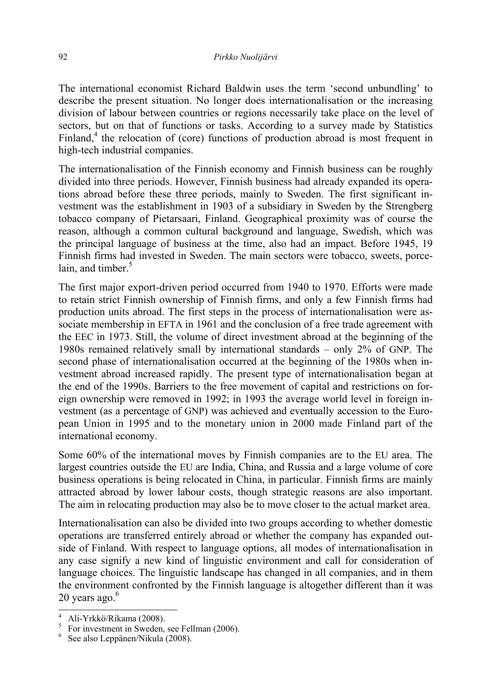The international economist Richard Baldwin uses the term 'second unbundling' to describe the present situation. No longer does internationalisation or the increasing division of labour between countries or regions necessarily take place on the level of sectors, but on that of functions or tasks. According to a survey made by Statistics Finland, $<sup>4</sup>$  the relocation of (core) functions of production abroad is most frequent in</sup> high-tech industrial companies.

The internationalisation of the Finnish economy and Finnish business can be roughly divided into three periods. However, Finnish business had already expanded its operations abroad before these three periods, mainly to Sweden. The first significant investment was the establishment in 1903 of a subsidiary in Sweden by the Strengberg tobacco company of Pietarsaari, Finland. Geographical proximity was of course the reason, although a common cultural background and language, Swedish, which was the principal language of business at the time, also had an impact. Before 1945, 19 Finnish firms had invested in Sweden. The main sectors were tobacco, sweets, porcelain, and timber. $5$ 

The first major export-driven period occurred from 1940 to 1970. Efforts were made to retain strict Finnish ownership of Finnish firms, and only a few Finnish firms had production units abroad. The first steps in the process of internationalisation were associate membership in EFTA in 1961 and the conclusion of a free trade agreement with the EEC in 1973. Still, the volume of direct investment abroad at the beginning of the 1980s remained relatively small by international standards – only 2% of GNP. The second phase of internationalisation occurred at the beginning of the 1980s when investment abroad increased rapidly. The present type of internationalisation began at the end of the 1990s. Barriers to the free movement of capital and restrictions on foreign ownership were removed in 1992; in 1993 the average world level in foreign investment (as a percentage of GNP) was achieved and eventually accession to the European Union in 1995 and to the monetary union in 2000 made Finland part of the international economy.

Some 60% of the international moves by Finnish companies are to the EU area. The largest countries outside the EU are India, China, and Russia and a large volume of core business operations is being relocated in China, in particular. Finnish firms are mainly attracted abroad by lower labour costs, though strategic reasons are also important. The aim in relocating production may also be to move closer to the actual market area.

Internationalisation can also be divided into two groups according to whether domestic operations are transferred entirely abroad or whether the company has expanded outside of Finland. With respect to language options, all modes of internationalisation in any case signify a new kind of linguistic environment and call for consideration of language choices. The linguistic landscape has changed in all companies, and in them the environment confronted by the Finnish language is altogether different than it was  $20$  years ago. $<sup>6</sup>$ </sup>

<sup>4</sup> Ali-Yrkkö/Rikama (2008).

<sup>&</sup>lt;sup>5</sup> For investment in Sweden, see Fellman (2006).

<sup>6</sup> See also Leppänen/Nikula (2008).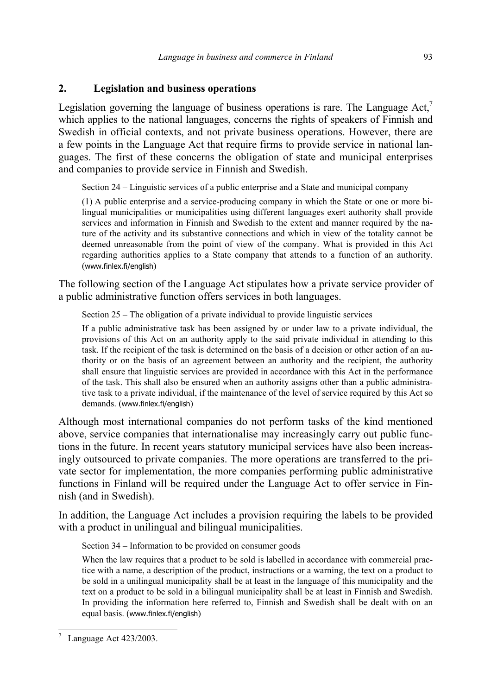#### **2. Legislation and business operations**

Legislation governing the language of business operations is rare. The Language  $Act<sup>7</sup>$ which applies to the national languages, concerns the rights of speakers of Finnish and Swedish in official contexts, and not private business operations. However, there are a few points in the Language Act that require firms to provide service in national languages. The first of these concerns the obligation of state and municipal enterprises and companies to provide service in Finnish and Swedish.

Section 24 – Linguistic services of a public enterprise and a State and municipal company

(1) A public enterprise and a service-producing company in which the State or one or more bilingual municipalities or municipalities using different languages exert authority shall provide services and information in Finnish and Swedish to the extent and manner required by the nature of the activity and its substantive connections and which in view of the totality cannot be deemed unreasonable from the point of view of the company. What is provided in this Act regarding authorities applies to a State company that attends to a function of an authority. (www.finlex.fi/english)

The following section of the Language Act stipulates how a private service provider of a public administrative function offers services in both languages.

Section 25 – The obligation of a private individual to provide linguistic services

If a public administrative task has been assigned by or under law to a private individual, the provisions of this Act on an authority apply to the said private individual in attending to this task. If the recipient of the task is determined on the basis of a decision or other action of an authority or on the basis of an agreement between an authority and the recipient, the authority shall ensure that linguistic services are provided in accordance with this Act in the performance of the task. This shall also be ensured when an authority assigns other than a public administrative task to a private individual, if the maintenance of the level of service required by this Act so demands. (www.finlex.fi/english)

Although most international companies do not perform tasks of the kind mentioned above, service companies that internationalise may increasingly carry out public functions in the future. In recent years statutory municipal services have also been increasingly outsourced to private companies. The more operations are transferred to the private sector for implementation, the more companies performing public administrative functions in Finland will be required under the Language Act to offer service in Finnish (and in Swedish).

In addition, the Language Act includes a provision requiring the labels to be provided with a product in unilingual and bilingual municipalities.

Section 34 – Information to be provided on consumer goods

When the law requires that a product to be sold is labelled in accordance with commercial practice with a name, a description of the product, instructions or a warning, the text on a product to be sold in a unilingual municipality shall be at least in the language of this municipality and the text on a product to be sold in a bilingual municipality shall be at least in Finnish and Swedish. In providing the information here referred to. Finnish and Swedish shall be dealt with on an equal basis. (www.finlex.fi/english)

 $\overline{a}$ 7 Language Act 423/2003.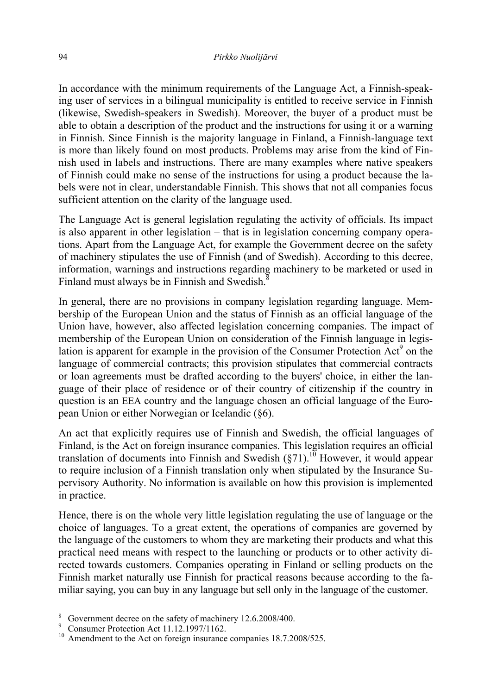In accordance with the minimum requirements of the Language Act, a Finnish-speaking user of services in a bilingual municipality is entitled to receive service in Finnish (likewise, Swedish-speakers in Swedish). Moreover, the buyer of a product must be able to obtain a description of the product and the instructions for using it or a warning in Finnish. Since Finnish is the majority language in Finland, a Finnish-language text is more than likely found on most products. Problems may arise from the kind of Finnish used in labels and instructions. There are many examples where native speakers of Finnish could make no sense of the instructions for using a product because the labels were not in clear, understandable Finnish. This shows that not all companies focus sufficient attention on the clarity of the language used.

The Language Act is general legislation regulating the activity of officials. Its impact is also apparent in other legislation – that is in legislation concerning company operations. Apart from the Language Act, for example the Government decree on the safety of machinery stipulates the use of Finnish (and of Swedish). According to this decree, information, warnings and instructions regarding machinery to be marketed or used in Finland must always be in Finnish and Swedish.<sup>8</sup>

In general, there are no provisions in company legislation regarding language. Membership of the European Union and the status of Finnish as an official language of the Union have, however, also affected legislation concerning companies. The impact of membership of the European Union on consideration of the Finnish language in legislation is apparent for example in the provision of the Consumer Protection  $Act^9$  on the language of commercial contracts; this provision stipulates that commercial contracts or loan agreements must be drafted according to the buyers' choice, in either the language of their place of residence or of their country of citizenship if the country in question is an EEA country and the language chosen an official language of the European Union or either Norwegian or Icelandic (§6).

An act that explicitly requires use of Finnish and Swedish, the official languages of Finland, is the Act on foreign insurance companies. This legislation requires an official translation of documents into Finnish and Swedish (§71).<sup>10</sup> However, it would appear to require inclusion of a Finnish translation only when stipulated by the Insurance Supervisory Authority. No information is available on how this provision is implemented in practice.

Hence, there is on the whole very little legislation regulating the use of language or the choice of languages. To a great extent, the operations of companies are governed by the language of the customers to whom they are marketing their products and what this practical need means with respect to the launching or products or to other activity directed towards customers. Companies operating in Finland or selling products on the Finnish market naturally use Finnish for practical reasons because according to the familiar saying, you can buy in any language but sell only in the language of the customer.

<sup>8</sup> Government decree on the safety of machinery 12.6.2008/400.

<sup>9</sup> Consumer Protection Act 11.12.1997/1162.

<sup>&</sup>lt;sup>10</sup> Amendment to the Act on foreign insurance companies 18.7.2008/525.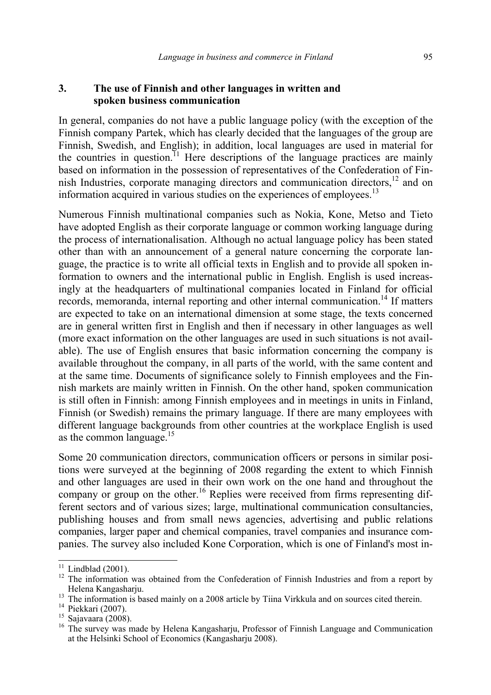#### **3. The use of Finnish and other languages in written and spoken business communication**

In general, companies do not have a public language policy (with the exception of the Finnish company Partek, which has clearly decided that the languages of the group are Finnish, Swedish, and English); in addition, local languages are used in material for the countries in question.<sup>11</sup> Here descriptions of the language practices are mainly based on information in the possession of representatives of the Confederation of Finnish Industries, corporate managing directors and communication directors,<sup>12</sup> and on information acquired in various studies on the experiences of employees.<sup>13</sup>

Numerous Finnish multinational companies such as Nokia, Kone, Metso and Tieto have adopted English as their corporate language or common working language during the process of internationalisation. Although no actual language policy has been stated other than with an announcement of a general nature concerning the corporate language, the practice is to write all official texts in English and to provide all spoken information to owners and the international public in English. English is used increasingly at the headquarters of multinational companies located in Finland for official records, memoranda, internal reporting and other internal communication.<sup>14</sup> If matters are expected to take on an international dimension at some stage, the texts concerned are in general written first in English and then if necessary in other languages as well (more exact information on the other languages are used in such situations is not available). The use of English ensures that basic information concerning the company is available throughout the company, in all parts of the world, with the same content and at the same time. Documents of significance solely to Finnish employees and the Finnish markets are mainly written in Finnish. On the other hand, spoken communication is still often in Finnish: among Finnish employees and in meetings in units in Finland, Finnish (or Swedish) remains the primary language. If there are many employees with different language backgrounds from other countries at the workplace English is used as the common language. $15$ 

Some 20 communication directors, communication officers or persons in similar positions were surveyed at the beginning of 2008 regarding the extent to which Finnish and other languages are used in their own work on the one hand and throughout the company or group on the other.<sup>16</sup> Replies were received from firms representing different sectors and of various sizes; large, multinational communication consultancies, publishing houses and from small news agencies, advertising and public relations companies, larger paper and chemical companies, travel companies and insurance companies. The survey also included Kone Corporation, which is one of Finland's most in-

 $11$  Lindblad (2001).

 $12$  The information was obtained from the Confederation of Finnish Industries and from a report by Helena Kangasharju.<br><sup>13</sup> The information is based mainly on a 2008 article by Tiina Virkkula and on sources cited therein.<br><sup>14</sup> Piekkari (2007).<br><sup>15</sup> Sajavaara (2008).<br><sup>15</sup> The survey was made by Helena Kangasharju, Profes

at the Helsinki School of Economics (Kangasharju 2008).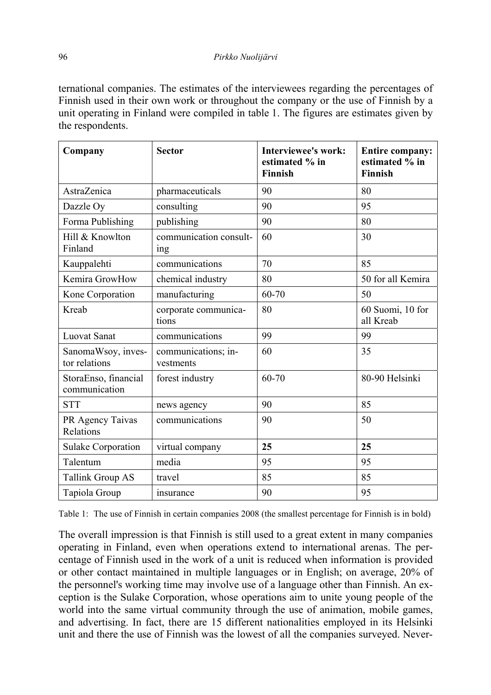ternational companies. The estimates of the interviewees regarding the percentages of Finnish used in their own work or throughout the company or the use of Finnish by a unit operating in Finland were compiled in table 1. The figures are estimates given by the respondents.

| Company                               | <b>Sector</b>                    | <b>Interviewee's work:</b><br>estimated % in<br>Finnish | <b>Entire company:</b><br>estimated % in<br>Finnish |
|---------------------------------------|----------------------------------|---------------------------------------------------------|-----------------------------------------------------|
| AstraZenica                           | pharmaceuticals                  | 90                                                      | 80                                                  |
| Dazzle Oy                             | consulting                       | 90                                                      | 95                                                  |
| Forma Publishing                      | publishing                       | 90                                                      | 80                                                  |
| Hill & Knowlton<br>Finland            | communication consult-<br>ing    | 60                                                      | 30                                                  |
| Kauppalehti                           | communications                   | 70                                                      | 85                                                  |
| Kemira GrowHow                        | chemical industry                | 80                                                      | 50 for all Kemira                                   |
| Kone Corporation                      | manufacturing                    | 60-70                                                   | 50                                                  |
| Kreab                                 | corporate communica-<br>tions    | 80                                                      | 60 Suomi, 10 for<br>all Kreab                       |
| <b>Luovat Sanat</b>                   | communications                   | 99                                                      | 99                                                  |
| SanomaWsoy, inves-<br>tor relations   | communications; in-<br>vestments | 60                                                      | 35                                                  |
| StoraEnso, financial<br>communication | forest industry                  | 60-70                                                   | 80-90 Helsinki                                      |
| <b>STT</b>                            | news agency                      | 90                                                      | 85                                                  |
| PR Agency Taivas<br>Relations         | communications                   | 90                                                      | 50                                                  |
| <b>Sulake Corporation</b>             | virtual company                  | 25                                                      | 25                                                  |
| Talentum                              | media                            | 95                                                      | 95                                                  |
| <b>Tallink Group AS</b>               | travel                           | 85                                                      | 85                                                  |
| Tapiola Group                         | insurance                        | 90                                                      | 95                                                  |

Table 1: The use of Finnish in certain companies 2008 (the smallest percentage for Finnish is in bold)

The overall impression is that Finnish is still used to a great extent in many companies operating in Finland, even when operations extend to international arenas. The percentage of Finnish used in the work of a unit is reduced when information is provided or other contact maintained in multiple languages or in English; on average, 20% of the personnel's working time may involve use of a language other than Finnish. An exception is the Sulake Corporation, whose operations aim to unite young people of the world into the same virtual community through the use of animation, mobile games, and advertising. In fact, there are 15 different nationalities employed in its Helsinki unit and there the use of Finnish was the lowest of all the companies surveyed. Never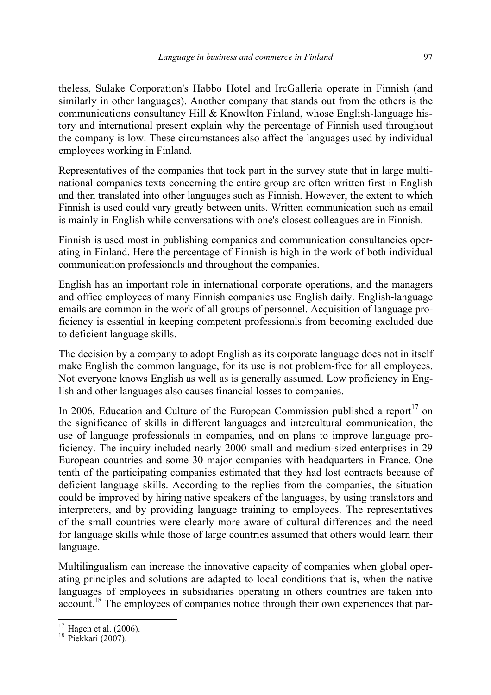theless, Sulake Corporation's Habbo Hotel and IrcGalleria operate in Finnish (and similarly in other languages). Another company that stands out from the others is the communications consultancy Hill & Knowlton Finland, whose English-language history and international present explain why the percentage of Finnish used throughout the company is low. These circumstances also affect the languages used by individual employees working in Finland.

Representatives of the companies that took part in the survey state that in large multinational companies texts concerning the entire group are often written first in English and then translated into other languages such as Finnish. However, the extent to which Finnish is used could vary greatly between units. Written communication such as email is mainly in English while conversations with one's closest colleagues are in Finnish.

Finnish is used most in publishing companies and communication consultancies operating in Finland. Here the percentage of Finnish is high in the work of both individual communication professionals and throughout the companies.

English has an important role in international corporate operations, and the managers and office employees of many Finnish companies use English daily. English-language emails are common in the work of all groups of personnel. Acquisition of language proficiency is essential in keeping competent professionals from becoming excluded due to deficient language skills.

The decision by a company to adopt English as its corporate language does not in itself make English the common language, for its use is not problem-free for all employees. Not everyone knows English as well as is generally assumed. Low proficiency in English and other languages also causes financial losses to companies.

In 2006, Education and Culture of the European Commission published a report<sup>17</sup> on the significance of skills in different languages and intercultural communication, the use of language professionals in companies, and on plans to improve language proficiency. The inquiry included nearly 2000 small and medium-sized enterprises in 29 European countries and some 30 major companies with headquarters in France. One tenth of the participating companies estimated that they had lost contracts because of deficient language skills. According to the replies from the companies, the situation could be improved by hiring native speakers of the languages, by using translators and interpreters, and by providing language training to employees. The representatives of the small countries were clearly more aware of cultural differences and the need for language skills while those of large countries assumed that others would learn their language.

Multilingualism can increase the innovative capacity of companies when global operating principles and solutions are adapted to local conditions that is, when the native languages of employees in subsidiaries operating in others countries are taken into account.18 The employees of companies notice through their own experiences that par-

 $^{17}$  Hagen et al. (2006).<br><sup>18</sup> Piekkari (2007).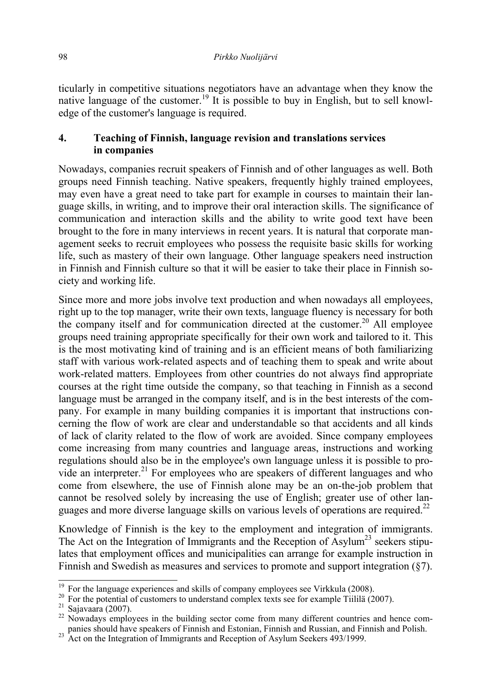ticularly in competitive situations negotiators have an advantage when they know the native language of the customer.<sup>19</sup> It is possible to buy in English, but to sell knowledge of the customer's language is required.

### **4. Teaching of Finnish, language revision and translations services in companies**

Nowadays, companies recruit speakers of Finnish and of other languages as well. Both groups need Finnish teaching. Native speakers, frequently highly trained employees, may even have a great need to take part for example in courses to maintain their language skills, in writing, and to improve their oral interaction skills. The significance of communication and interaction skills and the ability to write good text have been brought to the fore in many interviews in recent years. It is natural that corporate management seeks to recruit employees who possess the requisite basic skills for working life, such as mastery of their own language. Other language speakers need instruction in Finnish and Finnish culture so that it will be easier to take their place in Finnish society and working life.

Since more and more jobs involve text production and when nowadays all employees, right up to the top manager, write their own texts, language fluency is necessary for both the company itself and for communication directed at the customer.<sup>20</sup> All employee groups need training appropriate specifically for their own work and tailored to it. This is the most motivating kind of training and is an efficient means of both familiarizing staff with various work-related aspects and of teaching them to speak and write about work-related matters. Employees from other countries do not always find appropriate courses at the right time outside the company, so that teaching in Finnish as a second language must be arranged in the company itself, and is in the best interests of the company. For example in many building companies it is important that instructions concerning the flow of work are clear and understandable so that accidents and all kinds of lack of clarity related to the flow of work are avoided. Since company employees come increasing from many countries and language areas, instructions and working regulations should also be in the employee's own language unless it is possible to provide an interpreter.<sup>21</sup> For employees who are speakers of different languages and who come from elsewhere, the use of Finnish alone may be an on-the-job problem that cannot be resolved solely by increasing the use of English; greater use of other languages and more diverse language skills on various levels of operations are required.<sup>22</sup>

Knowledge of Finnish is the key to the employment and integration of immigrants. The Act on the Integration of Immigrants and the Reception of Asylum<sup>23</sup> seekers stipulates that employment offices and municipalities can arrange for example instruction in Finnish and Swedish as measures and services to promote and support integration (§7).

 $\frac{19}{19}$  For the language experiences and skills of company employees see Virkkula (2008).

<sup>&</sup>lt;sup>20</sup> For the potential of customers to understand complex texts see for example Tiililä (2007).<br><sup>21</sup> Sajavaara (2007).<br><sup>22</sup> Nowadays employees in the building sector come from many different countries and hence com-

panies should have speakers of Finnish and Estonian, Finnish and Russian, and Finnish and Polish.

 $^{23}$  Act on the Integration of Immigrants and Reception of Asylum Seekers 493/1999.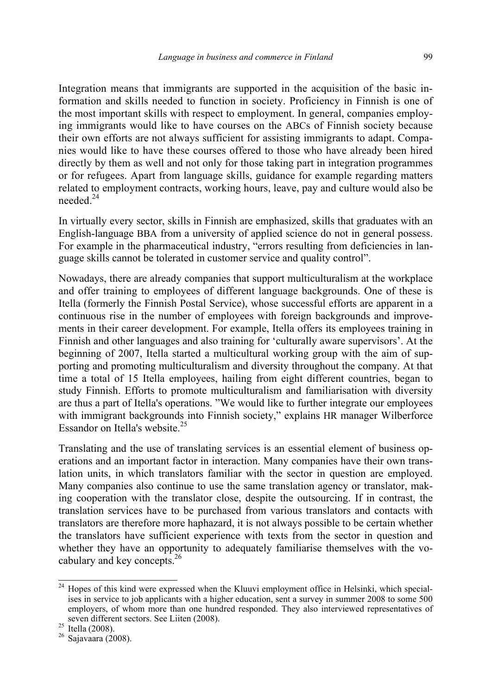Integration means that immigrants are supported in the acquisition of the basic information and skills needed to function in society. Proficiency in Finnish is one of the most important skills with respect to employment. In general, companies employing immigrants would like to have courses on the ABCs of Finnish society because their own efforts are not always sufficient for assisting immigrants to adapt. Companies would like to have these courses offered to those who have already been hired directly by them as well and not only for those taking part in integration programmes or for refugees. Apart from language skills, guidance for example regarding matters related to employment contracts, working hours, leave, pay and culture would also be needed.<sup>24</sup>

In virtually every sector, skills in Finnish are emphasized, skills that graduates with an English-language BBA from a university of applied science do not in general possess. For example in the pharmaceutical industry, "errors resulting from deficiencies in language skills cannot be tolerated in customer service and quality control".

Nowadays, there are already companies that support multiculturalism at the workplace and offer training to employees of different language backgrounds. One of these is Itella (formerly the Finnish Postal Service), whose successful efforts are apparent in a continuous rise in the number of employees with foreign backgrounds and improvements in their career development. For example, Itella offers its employees training in Finnish and other languages and also training for 'culturally aware supervisors'. At the beginning of 2007, Itella started a multicultural working group with the aim of supporting and promoting multiculturalism and diversity throughout the company. At that time a total of 15 Itella employees, hailing from eight different countries, began to study Finnish. Efforts to promote multiculturalism and familiarisation with diversity are thus a part of Itella's operations. "We would like to further integrate our employees with immigrant backgrounds into Finnish society," explains HR manager Wilberforce Essandor on Itella's website. $25$ 

Translating and the use of translating services is an essential element of business operations and an important factor in interaction. Many companies have their own translation units, in which translators familiar with the sector in question are employed. Many companies also continue to use the same translation agency or translator, making cooperation with the translator close, despite the outsourcing. If in contrast, the translation services have to be purchased from various translators and contacts with translators are therefore more haphazard, it is not always possible to be certain whether the translators have sufficient experience with texts from the sector in question and whether they have an opportunity to adequately familiarise themselves with the vocabulary and key concepts.26

<sup>&</sup>lt;sup>24</sup> Hopes of this kind were expressed when the Kluuvi employment office in Helsinki, which specialises in service to job applicants with a higher education, sent a survey in summer 2008 to some 500 employers, of whom more than one hundred responded. They also interviewed representatives of seven different sectors. See Liiten (2008). 25 Itella (2008). 26 Sajavaara (2008).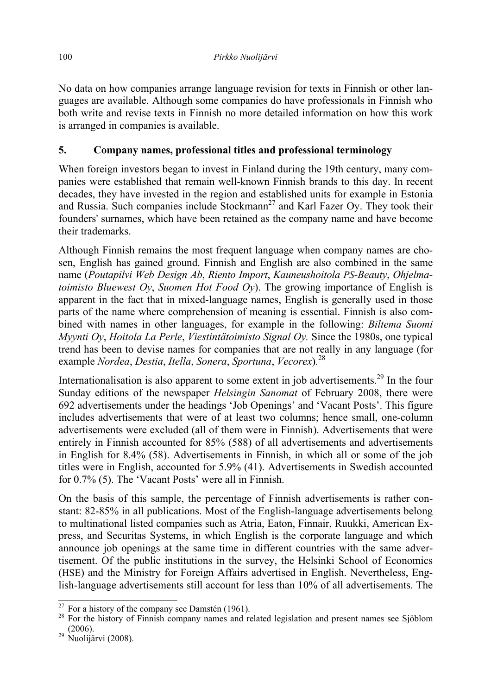No data on how companies arrange language revision for texts in Finnish or other languages are available. Although some companies do have professionals in Finnish who both write and revise texts in Finnish no more detailed information on how this work is arranged in companies is available.

## **5. Company names, professional titles and professional terminology**

When foreign investors began to invest in Finland during the 19th century, many companies were established that remain well-known Finnish brands to this day. In recent decades, they have invested in the region and established units for example in Estonia and Russia. Such companies include  $Stockmann<sup>27</sup>$  and Karl Fazer Oy. They took their founders' surnames, which have been retained as the company name and have become their trademarks.

Although Finnish remains the most frequent language when company names are chosen, English has gained ground. Finnish and English are also combined in the same name (*Poutapilvi Web Design Ab*, *Riento Import*, *Kauneushoitola PS-Beauty*, *Ohjelmatoimisto Bluewest Oy*, *Suomen Hot Food Oy*). The growing importance of English is apparent in the fact that in mixed-language names, English is generally used in those parts of the name where comprehension of meaning is essential. Finnish is also combined with names in other languages, for example in the following: *Biltema Suomi Myynti Oy*, *Hoitola La Perle*, *Viestintätoimisto Signal Oy.* Since the 1980s, one typical trend has been to devise names for companies that are not really in any language (for example *Nordea*, *Destia*, *Itella*, *Sonera*, *Sportuna*, *Vecorex*)*.* 28

Internationalisation is also apparent to some extent in job advertisements.<sup>29</sup> In the four Sunday editions of the newspaper *Helsingin Sanomat* of February 2008, there were 692 advertisements under the headings 'Job Openings' and 'Vacant Posts'. This figure includes advertisements that were of at least two columns; hence small, one-column advertisements were excluded (all of them were in Finnish). Advertisements that were entirely in Finnish accounted for 85% (588) of all advertisements and advertisements in English for 8.4% (58). Advertisements in Finnish, in which all or some of the job titles were in English, accounted for 5.9% (41). Advertisements in Swedish accounted for 0.7% (5). The 'Vacant Posts' were all in Finnish.

On the basis of this sample, the percentage of Finnish advertisements is rather constant: 82-85% in all publications. Most of the English-language advertisements belong to multinational listed companies such as Atria, Eaton, Finnair, Ruukki, American Express, and Securitas Systems, in which English is the corporate language and which announce job openings at the same time in different countries with the same advertisement. Of the public institutions in the survey, the Helsinki School of Economics (HSE) and the Ministry for Foreign Affairs advertised in English. Nevertheless, English-language advertisements still account for less than 10% of all advertisements. The

<sup>&</sup>lt;sup>27</sup> For a history of the company see Damstén (1961).<br><sup>28</sup> For the history of Finnish company names and related legislation and present names see Sjöblom (2006).

 $29$  Nuolijärvi (2008).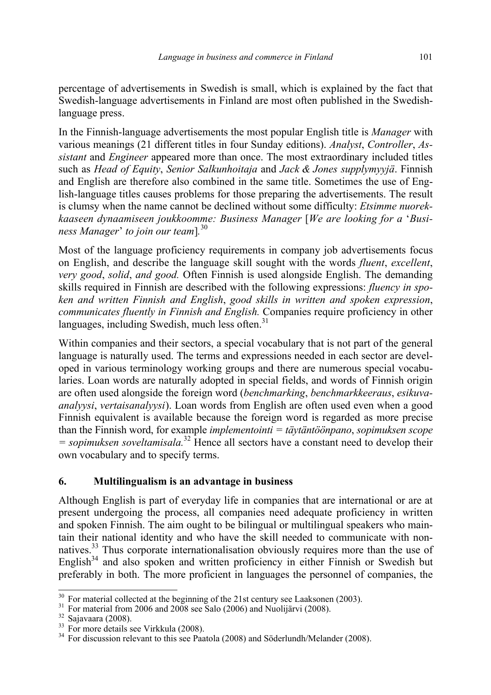percentage of advertisements in Swedish is small, which is explained by the fact that Swedish-language advertisements in Finland are most often published in the Swedishlanguage press.

In the Finnish-language advertisements the most popular English title is *Manager* with various meanings (21 different titles in four Sunday editions). *Analyst*, *Controller*, *Assistant* and *Engineer* appeared more than once. The most extraordinary included titles such as *Head of Equity*, *Senior Salkunhoitaja* and *Jack & Jones supplymyyjä*. Finnish and English are therefore also combined in the same title. Sometimes the use of English-language titles causes problems for those preparing the advertisements. The result is clumsy when the name cannot be declined without some difficulty: *Etsimme nuorekkaaseen dynaamiseen joukkoomme: Business Manager* [*We are looking for a* '*Business Manager*' *to join our team*]*.* 30

Most of the language proficiency requirements in company job advertisements focus on English, and describe the language skill sought with the words *fluent*, *excellent*, *very good*, *solid*, *and good.* Often Finnish is used alongside English. The demanding skills required in Finnish are described with the following expressions: *fluency in spoken and written Finnish and English*, *good skills in written and spoken expression*, *communicates fluently in Finnish and English.* Companies require proficiency in other languages, including Swedish, much less often. $31$ 

Within companies and their sectors, a special vocabulary that is not part of the general language is naturally used. The terms and expressions needed in each sector are developed in various terminology working groups and there are numerous special vocabularies. Loan words are naturally adopted in special fields, and words of Finnish origin are often used alongside the foreign word (*benchmarking*, *benchmarkkeeraus*, *esikuvaanalyysi*, *vertaisanalyysi*). Loan words from English are often used even when a good Finnish equivalent is available because the foreign word is regarded as more precise than the Finnish word, for example *implementointi = täytäntöönpano*, *sopimuksen scope = sopimuksen soveltamisala.*32 Hence all sectors have a constant need to develop their own vocabulary and to specify terms.

### **6. Multilingualism is an advantage in business**

Although English is part of everyday life in companies that are international or are at present undergoing the process, all companies need adequate proficiency in written and spoken Finnish. The aim ought to be bilingual or multilingual speakers who maintain their national identity and who have the skill needed to communicate with nonnatives.33 Thus corporate internationalisation obviously requires more than the use of English $34$  and also spoken and written proficiency in either Finnish or Swedish but preferably in both. The more proficient in languages the personnel of companies, the

 $\frac{30}{30}$  For material collected at the beginning of the 21st century see Laaksonen (2003).

<sup>&</sup>lt;sup>31</sup> For material from 2006 and 2008 see Salo (2006) and Nuolijärvi (2008).<br><sup>32</sup> Sajavaara (2008).<br><sup>33</sup> For more details see Virkkula (2008).<br><sup>34</sup> For discussion relevant to this see Paatola (2008) and Söderlundh/Melander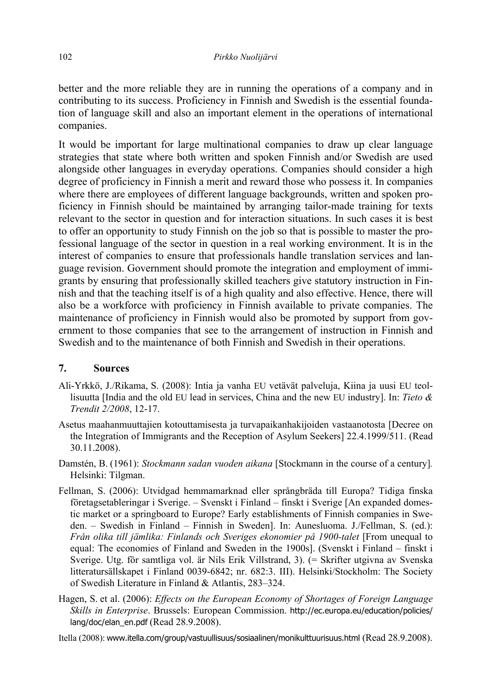better and the more reliable they are in running the operations of a company and in contributing to its success. Proficiency in Finnish and Swedish is the essential foundation of language skill and also an important element in the operations of international companies.

It would be important for large multinational companies to draw up clear language strategies that state where both written and spoken Finnish and/or Swedish are used alongside other languages in everyday operations. Companies should consider a high degree of proficiency in Finnish a merit and reward those who possess it. In companies where there are employees of different language backgrounds, written and spoken proficiency in Finnish should be maintained by arranging tailor-made training for texts relevant to the sector in question and for interaction situations. In such cases it is best to offer an opportunity to study Finnish on the job so that is possible to master the professional language of the sector in question in a real working environment. It is in the interest of companies to ensure that professionals handle translation services and language revision. Government should promote the integration and employment of immigrants by ensuring that professionally skilled teachers give statutory instruction in Finnish and that the teaching itself is of a high quality and also effective. Hence, there will also be a workforce with proficiency in Finnish available to private companies. The maintenance of proficiency in Finnish would also be promoted by support from government to those companies that see to the arrangement of instruction in Finnish and Swedish and to the maintenance of both Finnish and Swedish in their operations.

#### **7. Sources**

- Ali-Yrkkö, J./Rikama, S. (2008): Intia ja vanha EU vetävät palveluja, Kiina ja uusi EU teollisuutta [India and the old EU lead in services, China and the new EU industry]. In: *Tieto & Trendit 2/2008*, 12-17.
- Asetus maahanmuuttajien kotouttamisesta ja turvapaikanhakijoiden vastaanotosta [Decree on the Integration of Immigrants and the Reception of Asylum Seekers] 22.4.1999/511. (Read 30.11.2008).
- Damstén, B. (1961): *Stockmann sadan vuoden aikana* [Stockmann in the course of a century]*.* Helsinki: Tilgman.
- Fellman, S. (2006): Utvidgad hemmamarknad eller språngbräda till Europa? Tidiga finska företagsetableringar i Sverige. – Svenskt i Finland – finskt i Sverige [An expanded domestic market or a springboard to Europe? Early establishments of Finnish companies in Sweden. – Swedish in Finland – Finnish in Sweden]. In: Aunesluoma. J./Fellman, S. (ed.): *Från olika till jämlika: Finlands och Sveriges ekonomier på 1900-talet* [From unequal to equal: The economies of Finland and Sweden in the 1900s]. (Svenskt i Finland – finskt i Sverige. Utg. för samtliga vol. är Nils Erik Villstrand, 3). (= Skrifter utgivna av Svenska litteratursällskapet i Finland 0039-6842; nr. 682:3. III). Helsinki/Stockholm: The Society of Swedish Literature in Finland & Atlantis, 283–324.
- Hagen, S. et al. (2006): *Effects on the European Economy of Shortages of Foreign Language Skills in Enterprise*. Brussels: European Commission. http://ec.europa.eu/education/policies/ lang/doc/elan\_en.pdf (Read 28.9.2008).

Itella (2008): www.itella.com/group/vastuullisuus/sosiaalinen/monikulttuurisuus.html (Read 28.9.2008).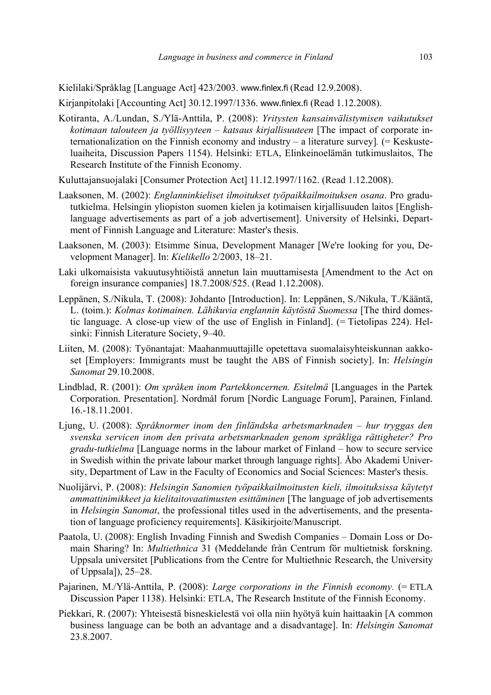Kielilaki/Språklag [Language Act] 423/2003. www.finlex.fi (Read 12.9.2008).

Kirjanpitolaki [Accounting Act] 30.12.1997/1336. www.finlex.fi (Read 1.12.2008).

- Kotiranta, A./Lundan, S./Ylä-Anttila, P. (2008): *Yritysten kansainvälistymisen vaikutukset kotimaan talouteen ja työllisyyteen – katsaus kirjallisuuteen* [The impact of corporate internationalization on the Finnish economy and industry – a literature survey]*.* (= Keskusteluaiheita, Discussion Papers 1154). Helsinki: ETLA, Elinkeinoelämän tutkimuslaitos, The Research Institute of the Finnish Economy.
- Kuluttajansuojalaki [Consumer Protection Act] 11.12.1997/1162. (Read 1.12.2008).
- Laaksonen, M. (2002): *Englanninkieliset ilmoitukset työpaikkailmoituksen osana*. Pro gradututkielma. Helsingin yliopiston suomen kielen ja kotimaisen kirjallisuuden laitos [Englishlanguage advertisements as part of a job advertisement]. University of Helsinki, Department of Finnish Language and Literature: Master's thesis.
- Laaksonen, M. (2003): Etsimme Sinua, Development Manager [We're looking for you, Development Manager]. In: *Kielikello* 2/2003, 18–21.
- Laki ulkomaisista vakuutusyhtiöistä annetun lain muuttamisesta [Amendment to the Act on foreign insurance companies] 18.7.2008/525. (Read 1.12.2008).
- Leppänen, S./Nikula, T. (2008): Johdanto [Introduction]. In: Leppänen, S./Nikula, T./Kääntä, L. (toim.): *Kolmas kotimainen. Lähikuvia englannin käytöstä Suomessa* [The third domestic language. A close-up view of the use of English in Finland]. (= Tietolipas 224). Helsinki: Finnish Literature Society, 9–40.
- Liiten, M. (2008): Työnantajat: Maahanmuuttajille opetettava suomalaisyhteiskunnan aakkoset [Employers: Immigrants must be taught the ABS of Finnish society]. In: *Helsingin Sanomat* 29.10.2008.
- Lindblad, R. (2001): *Om språken inom Partekkoncernen. Esitelmä* [Languages in the Partek Corporation. Presentation]. Nordmål forum [Nordic Language Forum], Parainen, Finland. 16.-18.11.2001.
- Ljung, U. (2008): *Språknormer inom den finländska arbetsmarknaden hur tryggas den svenska servicen inom den privata arbetsmarknaden genom språkliga rättigheter? Pro gradu-tutkielma* [Language norms in the labour market of Finland – how to secure service in Swedish within the private labour market through language rights]. Åbo Akademi University, Department of Law in the Faculty of Economics and Social Sciences: Master's thesis.
- Nuolijärvi, P. (2008): *Helsingin Sanomien työpaikkailmoitusten kieli, ilmoituksissa käytetyt ammattinimikkeet ja kielitaitovaatimusten esittäminen* [The language of job advertisements in *Helsingin Sanomat*, the professional titles used in the advertisements, and the presentation of language proficiency requirements]. Käsikirjoite/Manuscript.
- Paatola, U. (2008): English Invading Finnish and Swedish Companies Domain Loss or Domain Sharing? In: *Multiethnica* 31 (Meddelande från Centrum för multietnisk forskning. Uppsala universitet [Publications from the Centre for Multiethnic Research, the University of Uppsala]), 25–28.
- Pajarinen, M./Ylä-Anttila, P. (2008): *Large corporations in the Finnish economy.* (= ETLA Discussion Paper 1138). Helsinki: ETLA, The Research Institute of the Finnish Economy.
- Piekkari, R. (2007): Yhteisestä bisneskielestä voi olla niin hyötyä kuin haittaakin [A common business language can be both an advantage and a disadvantage]. In: *Helsingin Sanomat* 23.8.2007.